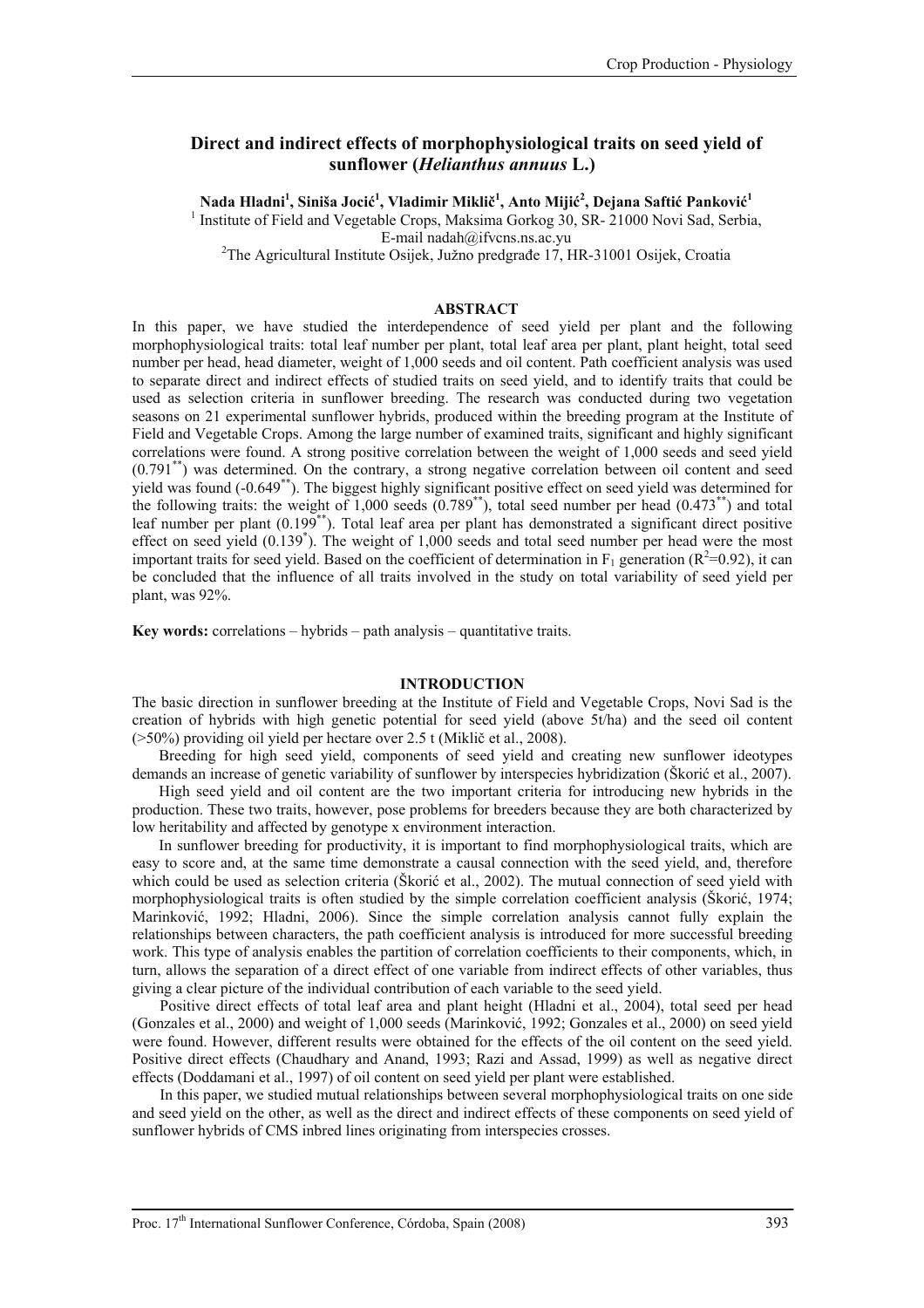# **Direct and indirect effects of morphophysiological traits on seed yield of sunflower (***Helianthus annuus* **L.)**

 $N$ ada Hladni $^1$ , Siniša Jocić $^1$ , Vladimir Miklič $^1$ , Anto Mijić $^2$ , Dejana Saftić Panković $^1$ <sup>1</sup> Institute of Field and Vegetable Crops, Maksima Gorkog 30, SR- 21000 Novi Sad, Serbia,

E-mail nadah@ifvcns.ns.ac.yu<br><sup>2</sup>The Agricultural Institute Osijek, Južno predgrađe 17, HR-31001 Osijek, Croatia

#### **ABSTRACT**

In this paper, we have studied the interdependence of seed yield per plant and the following morphophysiological traits: total leaf number per plant, total leaf area per plant, plant height, total seed number per head, head diameter, weight of 1,000 seeds and oil content. Path coefficient analysis was used to separate direct and indirect effects of studied traits on seed yield, and to identify traits that could be used as selection criteria in sunflower breeding. The research was conducted during two vegetation seasons on 21 experimental sunflower hybrids, produced within the breeding program at the Institute of Field and Vegetable Crops. Among the large number of examined traits, significant and highly significant correlations were found. A strong positive correlation between the weight of 1,000 seeds and seed yield (0.791\*\*) was determined. On the contrary, a strong negative correlation between oil content and seed yield was found (-0.649\*\*). The biggest highly significant positive effect on seed yield was determined for the following traits: the weight of  $1,000$  seeds  $(0.789^{**})$ , total seed number per head  $(0.473^{**})$  and total leaf number per plant (0.199<sup>\*\*</sup>). Total leaf area per plant has demonstrated a significant direct positive effect on seed yield (0.139<sup>\*</sup>). The weight of 1,000 seeds and total seed number per head were the most important traits for seed yield. Based on the coefficient of determination in  $F_1$  generation ( $R^2$ =0.92), it can be concluded that the influence of all traits involved in the study on total variability of seed yield per plant, was 92%.

**Key words:** correlations – hybrids – path analysis – quantitative traits.

#### **INTRODUCTION**

The basic direction in sunflower breeding at the Institute of Field and Vegetable Crops, Novi Sad is the creation of hybrids with high genetic potential for seed yield (above 5t/ha) and the seed oil content (>50%) providing oil yield per hectare over 2.5 t (Miklič et al., 2008).

Breeding for high seed yield, components of seed yield and creating new sunflower ideotypes demands an increase of genetic variability of sunflower by interspecies hybridization (Škorić et al., 2007).

High seed yield and oil content are the two important criteria for introducing new hybrids in the production. These two traits, however, pose problems for breeders because they are both characterized by low heritability and affected by genotype x environment interaction.

In sunflower breeding for productivity, it is important to find morphophysiological traits, which are easy to score and, at the same time demonstrate a causal connection with the seed yield, and, therefore which could be used as selection criteria (Škorić et al., 2002). The mutual connection of seed yield with morphophysiological traits is often studied by the simple correlation coefficient analysis (Škorić, 1974; Marinković, 1992; Hladni, 2006). Since the simple correlation analysis cannot fully explain the relationships between characters, the path coefficient analysis is introduced for more successful breeding work. This type of analysis enables the partition of correlation coefficients to their components, which, in turn, allows the separation of a direct effect of one variable from indirect effects of other variables, thus giving a clear picture of the individual contribution of each variable to the seed yield.

Positive direct effects of total leaf area and plant height (Hladni et al., 2004), total seed per head (Gonzales et al., 2000) and weight of 1,000 seeds (Marinković, 1992; Gonzales et al., 2000) on seed yield were found. However, different results were obtained for the effects of the oil content on the seed yield. Positive direct effects (Chaudhary and Anand, 1993; Razi and Assad, 1999) as well as negative direct effects (Doddamani et al., 1997) of oil content on seed yield per plant were established.

In this paper, we studied mutual relationships between several morphophysiological traits on one side and seed yield on the other, as well as the direct and indirect effects of these components on seed yield of sunflower hybrids of CMS inbred lines originating from interspecies crosses.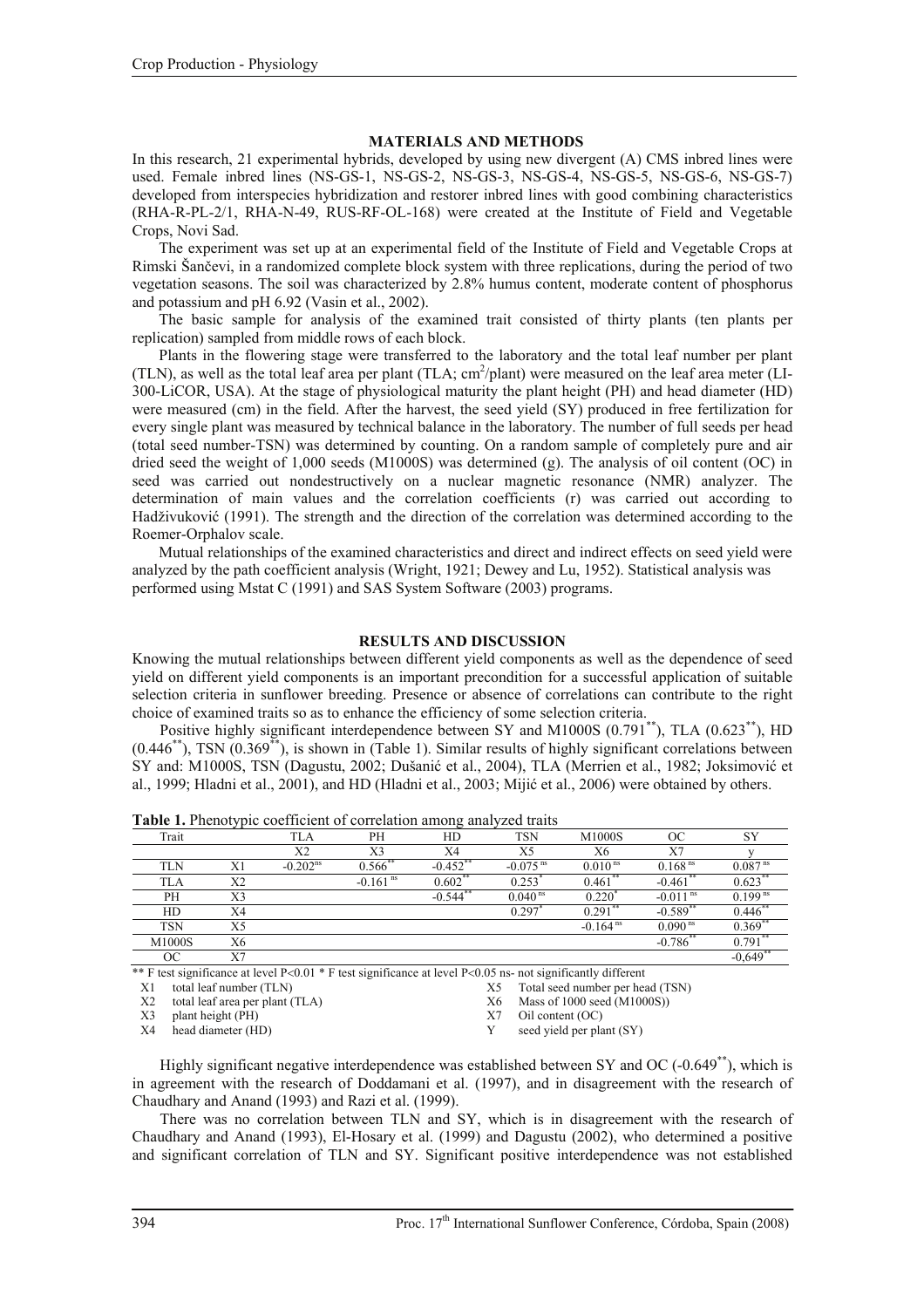# **MATERIALS AND METHODS**

In this research, 21 experimental hybrids, developed by using new divergent (A) CMS inbred lines were used. Female inbred lines (NS-GS-1, NS-GS-2, NS-GS-3, NS-GS-4, NS-GS-5, NS-GS-6, NS-GS-7) developed from interspecies hybridization and restorer inbred lines with good combining characteristics (RHA-R-PL-2/1, RHA-N-49, RUS-RF-OL-168) were created at the Institute of Field and Vegetable Crops, Novi Sad.

The experiment was set up at an experimental field of the Institute of Field and Vegetable Crops at Rimski Šančevi, in a randomized complete block system with three replications, during the period of two vegetation seasons. The soil was characterized by 2.8% humus content, moderate content of phosphorus and potassium and pH 6.92 (Vasin et al., 2002).

The basic sample for analysis of the examined trait consisted of thirty plants (ten plants per replication) sampled from middle rows of each block.

Plants in the flowering stage were transferred to the laboratory and the total leaf number per plant (TLN), as well as the total leaf area per plant (TLA; cm<sup>2</sup>/plant) were measured on the leaf area meter (LI-300-LiCOR, USA). At the stage of physiological maturity the plant height (PH) and head diameter (HD) were measured (cm) in the field. After the harvest, the seed yield (SY) produced in free fertilization for every single plant was measured by technical balance in the laboratory. The number of full seeds per head (total seed number-TSN) was determined by counting. On a random sample of completely pure and air dried seed the weight of 1,000 seeds (M1000S) was determined (g). The analysis of oil content (OC) in seed was carried out nondestructively on a nuclear magnetic resonance (NMR) analyzer. The determination of main values and the correlation coefficients (r) was carried out according to Hadživuković (1991). The strength and the direction of the correlation was determined according to the Roemer-Orphalov scale.

Mutual relationships of the examined characteristics and direct and indirect effects on seed yield were analyzed by the path coefficient analysis (Wright, 1921; Dewey and Lu, 1952). Statistical analysis was performed using Mstat C (1991) and SAS System Software (2003) programs.

# **RESULTS AND DISCUSSION**

Knowing the mutual relationships between different yield components as well as the dependence of seed yield on different yield components is an important precondition for a successful application of suitable selection criteria in sunflower breeding. Presence or absence of correlations can contribute to the right choice of examined traits so as to enhance the efficiency of some selection criteria.

Positive highly significant interdependence between SY and M1000S (0.791<sup>\*\*</sup>), TLA (0.623<sup>\*\*</sup>), HD  $(0.446^{**})$ , TSN  $(0.369^{**})$ , is shown in (Table 1). Similar results of highly significant correlations between SY and: M1000S, TSN (Dagustu, 2002; Dušanić et al., 2004), TLA (Merrien et al., 1982; Joksimović et al., 1999; Hladni et al., 2001), and HD (Hladni et al., 2003; Mijić et al., 2006) were obtained by others.

|            | <i>.</i> . |            |                        | ັ           |                        |                        |                        |                       |
|------------|------------|------------|------------------------|-------------|------------------------|------------------------|------------------------|-----------------------|
| Trait      |            | TLA        | PH                     | HD          | <b>TSN</b>             | M1000S                 | OC                     | SY                    |
|            |            | X2         | X3                     | X4          | X5                     | Χ6                     | X7                     |                       |
| TLN        | X1         | $-0.202ns$ | $0.566$ *              | $-0.452$ ** | $-0.075$ <sup>ns</sup> | 0.010 <sup>ns</sup>    | 0.168 <sup>ns</sup>    | 0.087 <sup>ns</sup>   |
| <b>TLA</b> | X2         |            | $-0.161$ <sup>ns</sup> | $0.602$ **  | 0.253                  | $0.461$ **             | $-0.461$ **            | 0.623                 |
| PH         | X3         |            |                        | $-0.544$ ** | $0.040$ <sup>ns</sup>  | 0.220                  | $-0.011$ <sup>ns</sup> | $0.199$ <sup>ns</sup> |
| HD         | X4         |            |                        |             | 0.297                  | 0.291                  | $-0.589$ <sup>*</sup>  | 0.446                 |
| <b>TSN</b> | X5         |            |                        |             |                        | $-0.164$ <sup>ns</sup> | $0.090$ <sup>ns</sup>  | 0.369                 |
| M1000S     | Х6         |            |                        |             |                        |                        | $-0.786$ **            | 0.791                 |
| ОC         | X7         |            |                        |             |                        |                        |                        | $-0.649$              |

**Table 1.** Phenotypic coefficient of correlation among analyzed traits

\*\* F test significance at level P<0.01 \* F test significance at level P<0.05 ns- not significantly different

X1 total leaf number (TLN) X5 Total seed number per head (TSN)

X2 total leaf area per plant (TLA) X6 Mass of 1000 seed (M1000S))

X3 plant height (PH) <br>
X7 Oil content (OC) <br>
X4 head diameter (HD) <br>
X7 Oil content (OC) <br>
X7 Seed yield per pla

seed yield per plant  $(SY)$ 

Highly significant negative interdependence was established between SY and OC  $(-0.649<sup>**</sup>)$ , which is in agreement with the research of Doddamani et al. (1997), and in disagreement with the research of Chaudhary and Anand (1993) and Razi et al. (1999).

There was no correlation between TLN and SY, which is in disagreement with the research of Chaudhary and Anand (1993), El-Hosary et al. (1999) and Dagustu (2002), who determined a positive and significant correlation of TLN and SY. Significant positive interdependence was not established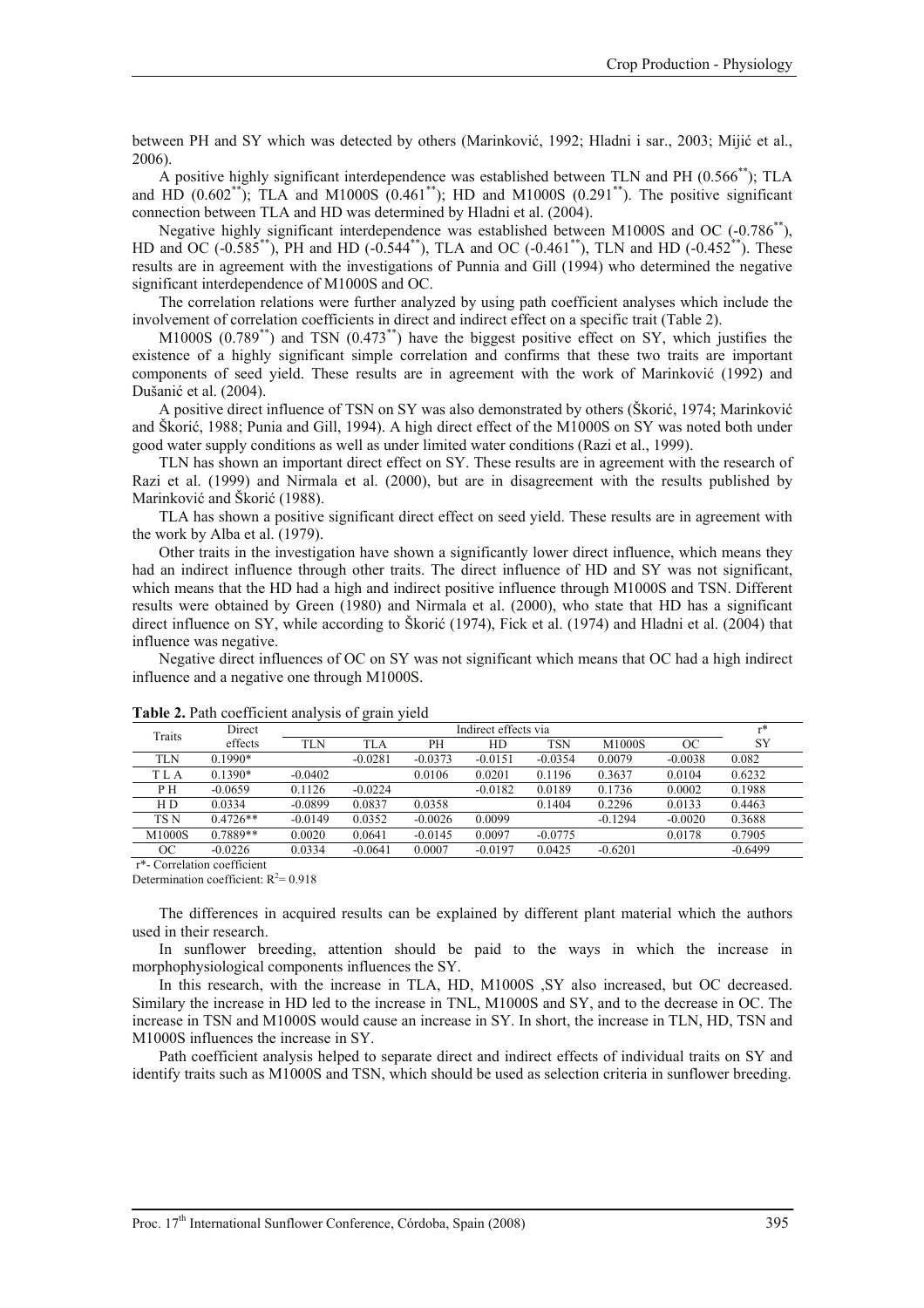between PH and SY which was detected by others (Marinković, 1992; Hladni i sar., 2003; Mijić et al., 2006).

A positive highly significant interdependence was established between TLN and PH (0.566\*\*); TLA and HD  $(0.602^{**})$ ; TLA and M1000S  $(0.461^{**})$ ; HD and M1000S  $(0.291^{**})$ . The positive significant connection between TLA and HD was determined by Hladni et al. (2004).

Negative highly significant interdependence was established between M1000S and OC (-0.786<sup>\*\*</sup>), HD and OC (-0.585\*\*), PH and HD (-0.544\*\*), TLA and OC (-0.461\*\*), TLN and HD (-0.452\*\*). These results are in agreement with the investigations of Punnia and Gill (1994) who determined the negative significant interdependence of M1000S and OC.

The correlation relations were further analyzed by using path coefficient analyses which include the involvement of correlation coefficients in direct and indirect effect on a specific trait (Table 2).

M1000S (0.789\*\*) and TSN (0.473\*\*) have the biggest positive effect on SY, which justifies the existence of a highly significant simple correlation and confirms that these two traits are important components of seed yield. These results are in agreement with the work of Marinković (1992) and Dušanić et al. (2004).

A positive direct influence of TSN on SY was also demonstrated by others (Škorić, 1974; Marinković and Škorić, 1988; Punia and Gill, 1994). A high direct effect of the M1000S on SY was noted both under good water supply conditions as well as under limited water conditions (Razi et al., 1999).

TLN has shown an important direct effect on SY. These results are in agreement with the research of Razi et al. (1999) and Nirmala et al. (2000), but are in disagreement with the results published by Marinković and Škorić (1988).

TLA has shown a positive significant direct effect on seed yield. These results are in agreement with the work by Alba et al. (1979).

Other traits in the investigation have shown a significantly lower direct influence, which means they had an indirect influence through other traits. The direct influence of HD and SY was not significant, which means that the HD had a high and indirect positive influence through M1000S and TSN. Different results were obtained by Green (1980) and Nirmala et al. (2000), who state that HD has a significant direct influence on SY, while according to Škorić (1974), Fick et al. (1974) and Hladni et al. (2004) that influence was negative.

Negative direct influences of OC on SY was not significant which means that OC had a high indirect influence and a negative one through M1000S.

|            |            |                      | ັ         |           |           |            |           |           |           |
|------------|------------|----------------------|-----------|-----------|-----------|------------|-----------|-----------|-----------|
| Traits     | Direct     | Indirect effects via |           |           |           |            |           |           | $r*$      |
|            | effects    | <b>TLN</b>           | TLA       | PН        | HD        | <b>TSN</b> | M1000S    | ОC        | SY        |
| <b>TLN</b> | $0.1990*$  |                      | $-0.0281$ | $-0.0373$ | $-0.0151$ | $-0.0354$  | 0.0079    | $-0.0038$ | 0.082     |
| T L A      | $0.1390*$  | $-0.0402$            |           | 0.0106    | 0.0201    | 0.1196     | 0.3637    | 0.0104    | 0.6232    |
| PН         | $-0.0659$  | 0.1126               | $-0.0224$ |           | $-0.0182$ | 0.0189     | 0.1736    | 0.0002    | 0.1988    |
| H D        | 0.0334     | $-0.0899$            | 0.0837    | 0.0358    |           | 0.1404     | 0.2296    | 0.0133    | 0.4463    |
| TS N       | $0.4726**$ | $-0.0149$            | 0.0352    | $-0.0026$ | 0.0099    |            | $-0.1294$ | $-0.0020$ | 0.3688    |
| M1000S     | 0.7889**   | 0.0020               | 0.0641    | $-0.0145$ | 0.0097    | $-0.0775$  |           | 0.0178    | 0.7905    |
| ОC         | $-0.0226$  | 0.0334               | $-0.0641$ | 0.0007    | $-0.0197$ | 0.0425     | $-0.6201$ |           | $-0.6499$ |

# Table 2. Path coefficient analysis of grain yield

r\*- Correlation coefficient

Determination coefficient:  $R^2 = 0.918$ 

The differences in acquired results can be explained by different plant material which the authors used in their research.

In sunflower breeding, attention should be paid to the ways in which the increase in morphophysiological components influences the SY.

In this research, with the increase in TLA, HD, M1000S ,SY also increased, but OC decreased. Similary the increase in HD led to the increase in TNL, M1000S and SY, and to the decrease in OC. The increase in TSN and M1000S would cause an increase in SY. In short, the increase in TLN, HD, TSN and M1000S influences the increase in SY.

Path coefficient analysis helped to separate direct and indirect effects of individual traits on SY and identify traits such as M1000S and TSN, which should be used as selection criteria in sunflower breeding.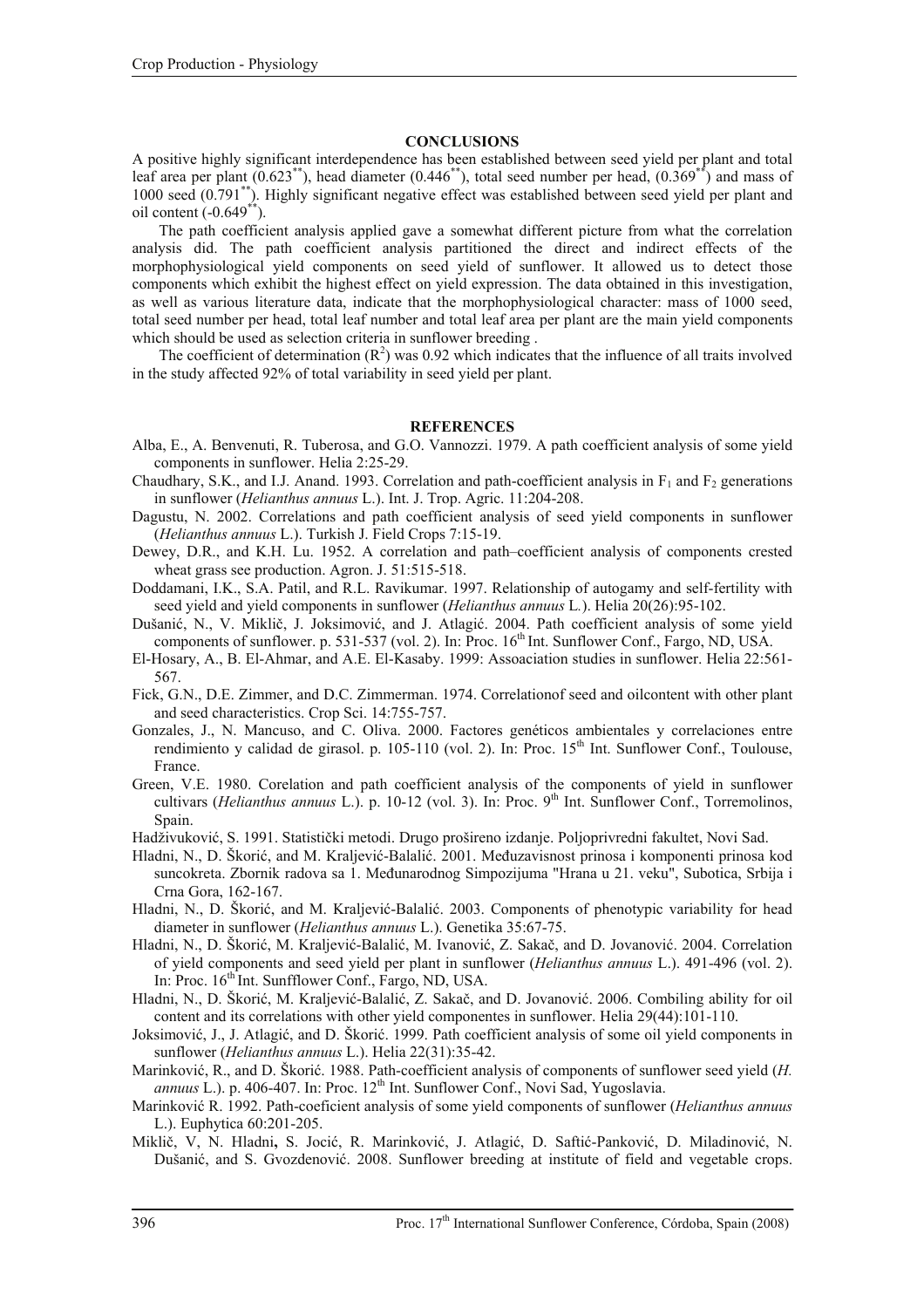### **CONCLUSIONS**

A positive highly significant interdependence has been established between seed yield per plant and total leaf area per plant  $(0.623^{**})$ , head diameter  $(0.446^{**})$ , total seed number per head,  $(0.369^{**})$  and mass of 1000 seed (0.791\*\*). Highly significant negative effect was established between seed yield per plant and oil content  $(-0.649<sup>**</sup>)$ .

The path coefficient analysis applied gave a somewhat different picture from what the correlation analysis did. The path coefficient analysis partitioned the direct and indirect effects of the morphophysiological yield components on seed yield of sunflower. It allowed us to detect those components which exhibit the highest effect on yield expression. The data obtained in this investigation, as well as various literature data, indicate that the morphophysiological character: mass of 1000 seed, total seed number per head, total leaf number and total leaf area per plant are the main yield components which should be used as selection criteria in sunflower breeding .

The coefficient of determination  $(R^2)$  was 0.92 which indicates that the influence of all traits involved in the study affected 92% of total variability in seed yield per plant.

#### **REFERENCES**

- Alba, E., A. Benvenuti, R. Tuberosa, and G.O. Vannozzi. 1979. A path coefficient analysis of some yield components in sunflower. Helia 2:25-29.
- Chaudhary, S.K., and I.J. Anand. 1993. Correlation and path-coefficient analysis in  $F_1$  and  $F_2$  generations in sunflower (*Helianthus annuus* L.). Int. J. Trop. Agric. 11:204-208.
- Dagustu, N. 2002. Correlations and path coefficient analysis of seed yield components in sunflower (*Helianthus annuus* L.). Turkish J. Field Crops 7:15-19.
- Dewey, D.R., and K.H. Lu. 1952. A correlation and path–coefficient analysis of components crested wheat grass see production. Agron. J. 51:515-518.
- Doddamani, I.K., S.A. Patil, and R.L. Ravikumar. 1997. Relationship of autogamy and self-fertility with seed yield and yield components in sunflower (*Helianthus annuus* L*.*). Helia 20(26):95-102.
- Dušanić, N., V. Miklič, J. Joksimović, and J. Atlagić. 2004. Path coefficient analysis of some yield components of sunflower. p. 531-537 (vol. 2). In: Proc.  $16<sup>th</sup>$  Int. Sunflower Conf., Fargo, ND, USA.
- El-Hosary, A., B. El-Ahmar, and A.E. El-Kasaby. 1999: Assoaciation studies in sunflower. Helia 22:561- 567.
- Fick, G.N., D.E. Zimmer, and D.C. Zimmerman. 1974. Correlationof seed and oilcontent with other plant and seed characteristics. Crop Sci. 14:755-757.
- Gonzales, J., N. Mancuso, and C. Oliva. 2000. Factores genéticos ambientales y correlaciones entre rendimiento y calidad de girasol. p. 105-110 (vol. 2). In: Proc. 15<sup>th</sup> Int. Sunflower Conf., Toulouse, France.
- Green, V.E. 1980. Corelation and path coefficient analysis of the components of yield in sunflower cultivars (*Helianthus annuus* L.). p. 10-12 (vol. 3). In: Proc. 9th Int. Sunflower Conf., Torremolinos, Spain.
- Hadživuković, S. 1991. Statistički metodi. Drugo prošireno izdanje. Poljoprivredni fakultet, Novi Sad.
- Hladni, N., D. Škorić, and M. Kraljević-Balalić. 2001. Međuzavisnost prinosa i komponenti prinosa kod suncokreta. Zbornik radova sa 1. Međunarodnog Simpozijuma "Hrana u 21. veku", Subotica, Srbija i Crna Gora, 162-167.
- Hladni, N., D. Škorić, and M. Kraljević-Balalić. 2003. Components of phenotypic variability for head diameter in sunflower (*Helianthus annuus* L.). Genetika 35:67-75.
- Hladni, N., D. Škorić, M. Kraljević-Balalić, M. Ivanović, Z. Sakač, and D. Jovanović. 2004. Correlation of yield components and seed yield per plant in sunflower (*Helianthus annuus* L.). 491-496 (vol. 2). In: Proc.  $16<sup>th</sup>$  Int. Sunfflower Conf., Fargo, ND, USA.
- Hladni, N., D. Škorić, M. Kraljević-Balalić, Z. Sakač, and D. Jovanović. 2006. Combiling ability for oil content and its correlations with other yield componentes in sunflower. Helia 29(44):101-110.
- Joksimović, J., J. Atlagić, and D. Škorić. 1999. Path coefficient analysis of some oil yield components in sunflower (*Helianthus annuus* L.). Helia 22(31):35-42.
- Marinković, R., and D. Škorić. 1988. Path-coefficient analysis of components of sunflower seed yield (*H. annuus L.).* p. 406-407. In: Proc. 12<sup>th</sup> Int. Sunflower Conf., Novi Sad, Yugoslavia.
- Marinković R. 1992. Path-coeficient analysis of some yield components of sunflower (*Helianthus annuus*  L.). Euphytica 60:201-205.
- Miklič, V, N. Hladni**,** S. Jocić, R. Marinković, J. Atlagić, D. Saftić-Panković, D. Miladinović, N. Dušanić, and S. Gvozdenović. 2008. Sunflower breeding at institute of field and vegetable crops.